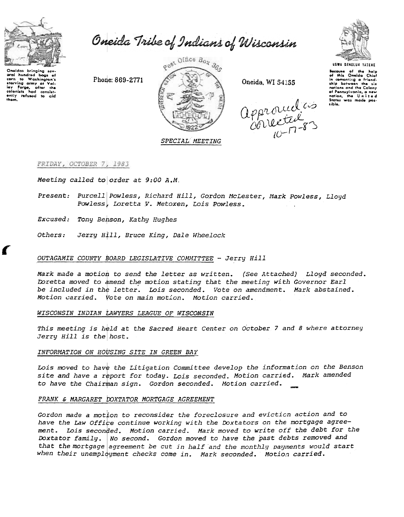

with munitied bags of<br>committed washington's<br>starving army at Vali-<br>ley Forge, ofter the<br>colonists had consist-<br>ently refused to cid<br>them.

aral hundrod

Oneida Tribe of Indians of Wisconsin

Phone: 869-2771



Oneida, WI 54155

approvedes



Because of the help<br>of this Oneida Chief in comonting a friendship botween the - six any parwsen the six<br>notions and the Colony<br>of Pennsylvania, a new<br>nation, the U n i t e d<br>States was made possible.

# FRIDAY, OCTOBER 7, 1983

Meeting called to order at 9:00 A.M.

- Present: Purcell Powless, Richard Hill, Gordon McLester, Mark Powless, Lloyd Powless, Loretta V. Metoxen, Lois Powless.
- Excused: Tony Benson, Kathy Hughes
- Jerry Hill, Bruce King, Dale Wheelock *Others:*

## OUTAGAMIE COUNTY BOARD LEGISLATIVE COMMITTEE - Jerry Hill

Mark made a motion to send the letter as written. (See Attached) Lloyd seconded. Loretta moved to amend the motion stating that the meeting with Governor Earl be included in the letter. Lois seconded. Vote on amendment. Mark abstained. Motion carried. Vote on main motion. Motion carried.

## WISCONSIN INDIAN LAWYERS LEAGUE OF WISCONSIN

This meeting is held at the Sacred Heart Center on October 7 and 8 where attorney Jerry Hill is the host.

## INFORMATION ON HOUSING SITE IN GREEN BAY

Lois moved to have the Litigation Committee develop the information on the Benson site and have a report for today. Lois seconded. Motion carried. Mark amended to have the Chairman sign. Gordon seconded. Motion carried.

### FRANK & MARGARET DOXTATOR MORTGAGE AGREEMENT

Gordon made a motion to reconsider the foreclosure and eviction action and to have the Law Office continue working with the Doxtators on the mortgage agreement. Lois seconded. Motion carried. Mark moved to write off the debt for the Doxtator family. No second. Gordon moved to have the past debts removed and that the mortgage agreement be cut in half and the monthly payments would start when their unemployment checks come in. Mark seconded. Motion carried.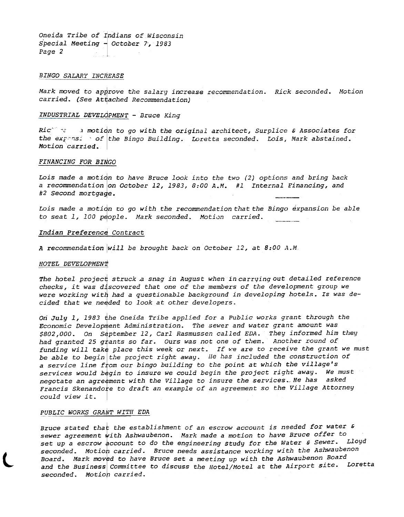Oneida Tribe of Indians of Wisconsin Special Meeting  $-$  October 7, 1983 Page 2

#### BINGO SALARY INCREASE

Mark moved to approve the salary increase recommendation. Rick seconded. Motion carried. (See Attached Recommendation)

## INDUSTRIAL DEVELOPMENT - Bruce King

Ric"  $\infty$  3 motion to go with the original architect, Surplice & Associates for the expansing of the Bingo Building. Loretta seconded. Lois, Mark abstained. Motion carried.

#### FINANCING FOR BINGO

Lois made a motion to have Bruce look into the two  $(2)$  options and bring back a recommendation on October 12, 1983, 8:00 A.M. #1 Internal Financing, and #2 Second mortgage.

Lois made a motion to go with the recommendation that the Bingo expansion be able to seat 1, 100 people. Mark seconded. Motion carried.

#### Indian Preference Contract

A recommendation will be brought back on October 12, at  $8:00$  A.M.

#### HOTEL DEVELOPMENT

The hotel project struck a snag in August when in carrying out detailed reference checks, it was discovered that one of the members of the development group we were working with had a questionable background in developing hotels. Is was decided that we needed to look at other developers.

On July 1, 1983 the Oneida Tribe applied for a Public works grant through the Economic Development Administration. The sewer and water grant amount was \$802,000. On September 12, Carl Rasmussen called EDA. They informed him they had granted 25 grants so far. Ours was not one of them. Another round of funding will take place this week or next. If we are to receive the grant we must be able to begin the project right away. He has included the construction of a service line from our bingo building to the point at which the village's services would begin to insure we could begin the project right away. We must negotate an agreement with the Village to insure the services. He has asked Francis Skenandore to draft an example of an agreement so the Village Attorney could view it.

## PUBLIC WORKS GRANT WITH EDA

l

Bruce stated that the establishment of an escrow account is needed for water  $\epsilon$ sewer agreement with Ashwaubenon. Mark made a motion to have Bruce offer to set up a escrow account to do the engineering study for the Water & Sewer. Lloyd seconded. Motion carried. Bruce needs assistance working with the Ashwaubenon Board. Mark moved to have Bruce set a meeting up with the Ashwaubenon Board and the Business Committee to discuss the Hotel/Motel at the Airport site. Loretta seconded. Motion carried.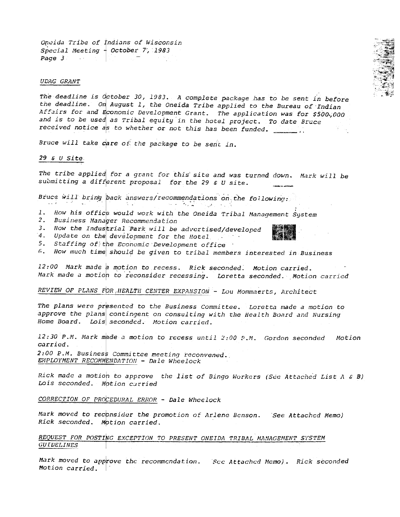Oneida Tribe of Indians of Wisconsin Special Meeting  $+$  October 7, 1983 Page 3

### UDAG GRANT

The deadline is october 30, 1983. A complete package has to be sent in before the deadline. On August 1, the Oneida Tribe applied to the Bureau of Indian Affairs for and Economic Development Grant. The application was for \$500,000 and is to be used as Tribal equity in the hotel project. To date Bruce received notice as to whether or not this has been funded.  $\frac{1}{\sqrt{1-\frac{1}{n}}}\cdot\frac{1}{n}$ 

Bruce will take care of the package to be sent in.

## $29$  & U Site

The tribe applied for a grant for this site and was turned down. Mark will be submitting a different proposal for the 29 & U site.

Bruce will bring back answers/recommendations on the following:

- $\alpha\in\mathbb{R}^n$  ,  $\alpha\in\mathbb{R}^n$ ر افغان دا 1. How his office would work with the Oneida Tribal Management System
- 2. Business Manager Recommendation
- 3. How the Industrial Park will be advertised/developed
- 4. Update on the development for the Hotel
- 5. Staffing of the Economic Development office
- 6. How much time should be given to tribal members interested in Business

12:00 Mark made a motion to recess. Rick seconded. Motion carried. Mark made a motion to reconsider recessing. Loretta seconded. Motion carried

REVIEW OF PLANS FOR HEALTH CENTER EXPANSION - Lou Mommaerts, Architect

The plans were presented to the Business Committee. Loretta made a motion to approve the plans contingent on consulting with the Health Board and Nursing Home Board. Lois seconded. Motion carried.

12:30 P.M. Mark made a motion to recess until 2:00 P.M. Gordon seconded Motion carried. 2:00 P.M. Business Committee meeting reconvened.

EMPLOYMENT RECOMMENDATION - Dale Wheelock

Rick made a motion to approve the list of Bingo Workers (See Attached List A & B) Lois seconded. Motion curried

CORRECTION OF PROCEDURAL ERROR - Dale Wheelock

Mark moved to reconsider the promotion of Arlene Benson. See Attached Memo) Rick seconded. Motion carried.

REQUEST FOR POSTING EXCEPTION TO PRESENT ONEIDA TRIBAL MANAGEMENT SYSTEM **GUIDELINES** 

Mark moved to approve the recommendation. See Attached Memo). Rick seconded Motion carried.